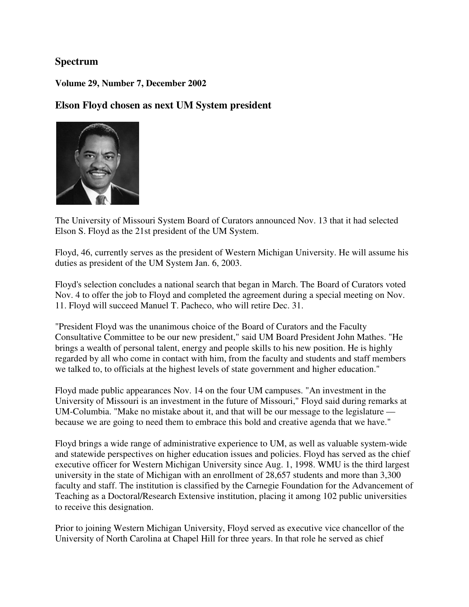### **Spectrum**

**Volume 29, Number 7, December 2002** 

**Elson Floyd chosen as next UM System president** 



The University of Missouri System Board of Curators announced Nov. 13 that it had selected Elson S. Floyd as the 21st president of the UM System.

Floyd, 46, currently serves as the president of Western Michigan University. He will assume his duties as president of the UM System Jan. 6, 2003.

Floyd's selection concludes a national search that began in March. The Board of Curators voted Nov. 4 to offer the job to Floyd and completed the agreement during a special meeting on Nov. 11. Floyd will succeed Manuel T. Pacheco, who will retire Dec. 31.

"President Floyd was the unanimous choice of the Board of Curators and the Faculty Consultative Committee to be our new president," said UM Board President John Mathes. "He brings a wealth of personal talent, energy and people skills to his new position. He is highly regarded by all who come in contact with him, from the faculty and students and staff members we talked to, to officials at the highest levels of state government and higher education."

Floyd made public appearances Nov. 14 on the four UM campuses. "An investment in the University of Missouri is an investment in the future of Missouri," Floyd said during remarks at UM-Columbia. "Make no mistake about it, and that will be our message to the legislature because we are going to need them to embrace this bold and creative agenda that we have."

Floyd brings a wide range of administrative experience to UM, as well as valuable system-wide and statewide perspectives on higher education issues and policies. Floyd has served as the chief executive officer for Western Michigan University since Aug. 1, 1998. WMU is the third largest university in the state of Michigan with an enrollment of 28,657 students and more than 3,300 faculty and staff. The institution is classified by the Carnegie Foundation for the Advancement of Teaching as a Doctoral/Research Extensive institution, placing it among 102 public universities to receive this designation.

Prior to joining Western Michigan University, Floyd served as executive vice chancellor of the University of North Carolina at Chapel Hill for three years. In that role he served as chief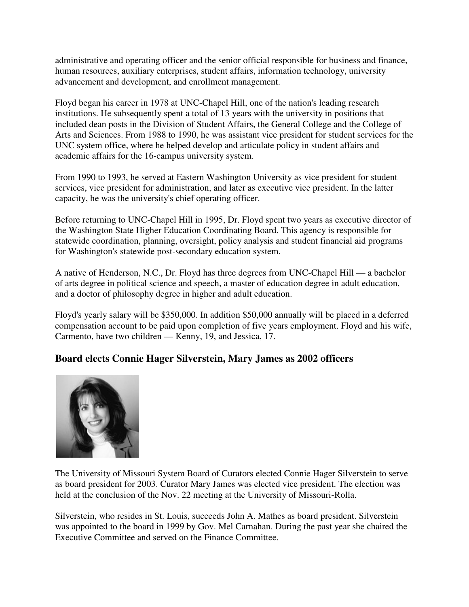administrative and operating officer and the senior official responsible for business and finance, human resources, auxiliary enterprises, student affairs, information technology, university advancement and development, and enrollment management.

Floyd began his career in 1978 at UNC-Chapel Hill, one of the nation's leading research institutions. He subsequently spent a total of 13 years with the university in positions that included dean posts in the Division of Student Affairs, the General College and the College of Arts and Sciences. From 1988 to 1990, he was assistant vice president for student services for the UNC system office, where he helped develop and articulate policy in student affairs and academic affairs for the 16-campus university system.

From 1990 to 1993, he served at Eastern Washington University as vice president for student services, vice president for administration, and later as executive vice president. In the latter capacity, he was the university's chief operating officer.

Before returning to UNC-Chapel Hill in 1995, Dr. Floyd spent two years as executive director of the Washington State Higher Education Coordinating Board. This agency is responsible for statewide coordination, planning, oversight, policy analysis and student financial aid programs for Washington's statewide post-secondary education system.

A native of Henderson, N.C., Dr. Floyd has three degrees from UNC-Chapel Hill — a bachelor of arts degree in political science and speech, a master of education degree in adult education, and a doctor of philosophy degree in higher and adult education.

Floyd's yearly salary will be \$350,000. In addition \$50,000 annually will be placed in a deferred compensation account to be paid upon completion of five years employment. Floyd and his wife, Carmento, have two children — Kenny, 19, and Jessica, 17.

# **Board elects Connie Hager Silverstein, Mary James as 2002 officers**



The University of Missouri System Board of Curators elected Connie Hager Silverstein to serve as board president for 2003. Curator Mary James was elected vice president. The election was held at the conclusion of the Nov. 22 meeting at the University of Missouri-Rolla.

Silverstein, who resides in St. Louis, succeeds John A. Mathes as board president. Silverstein was appointed to the board in 1999 by Gov. Mel Carnahan. During the past year she chaired the Executive Committee and served on the Finance Committee.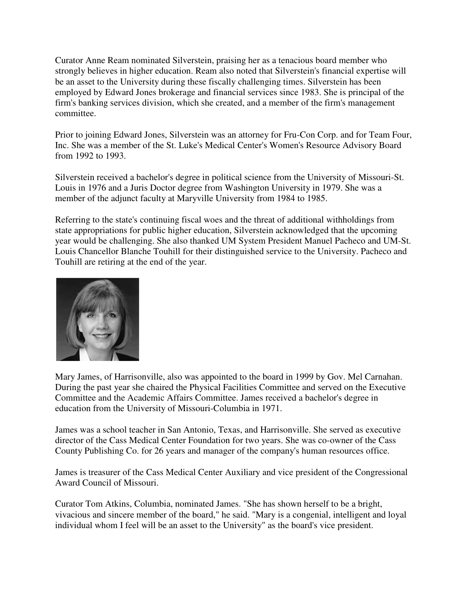Curator Anne Ream nominated Silverstein, praising her as a tenacious board member who strongly believes in higher education. Ream also noted that Silverstein's financial expertise will be an asset to the University during these fiscally challenging times. Silverstein has been employed by Edward Jones brokerage and financial services since 1983. She is principal of the firm's banking services division, which she created, and a member of the firm's management committee.

Prior to joining Edward Jones, Silverstein was an attorney for Fru-Con Corp. and for Team Four, Inc. She was a member of the St. Luke's Medical Center's Women's Resource Advisory Board from 1992 to 1993.

Silverstein received a bachelor's degree in political science from the University of Missouri-St. Louis in 1976 and a Juris Doctor degree from Washington University in 1979. She was a member of the adjunct faculty at Maryville University from 1984 to 1985.

Referring to the state's continuing fiscal woes and the threat of additional withholdings from state appropriations for public higher education, Silverstein acknowledged that the upcoming year would be challenging. She also thanked UM System President Manuel Pacheco and UM-St. Louis Chancellor Blanche Touhill for their distinguished service to the University. Pacheco and Touhill are retiring at the end of the year.



Mary James, of Harrisonville, also was appointed to the board in 1999 by Gov. Mel Carnahan. During the past year she chaired the Physical Facilities Committee and served on the Executive Committee and the Academic Affairs Committee. James received a bachelor's degree in education from the University of Missouri-Columbia in 1971.

James was a school teacher in San Antonio, Texas, and Harrisonville. She served as executive director of the Cass Medical Center Foundation for two years. She was co-owner of the Cass County Publishing Co. for 26 years and manager of the company's human resources office.

James is treasurer of the Cass Medical Center Auxiliary and vice president of the Congressional Award Council of Missouri.

Curator Tom Atkins, Columbia, nominated James. "She has shown herself to be a bright, vivacious and sincere member of the board," he said. "Mary is a congenial, intelligent and loyal individual whom I feel will be an asset to the University" as the board's vice president.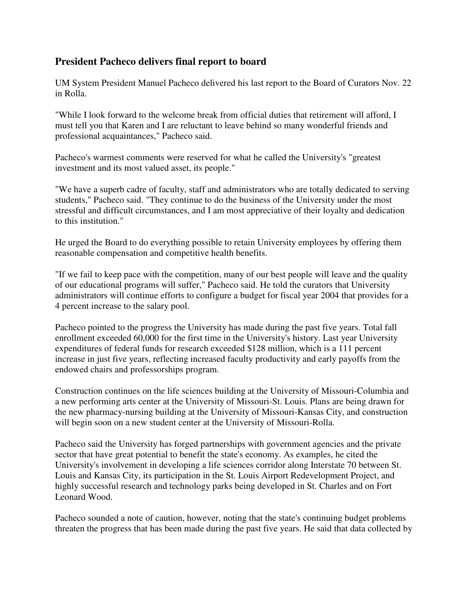### **President Pacheco delivers final report to board**

UM System President Manuel Pacheco delivered his last report to the Board of Curators Nov. 22 in Rolla.

"While I look forward to the welcome break from official duties that retirement will afford, I must tell you that Karen and I are reluctant to leave behind so many wonderful friends and professional acquaintances," Pacheco said.

Pacheco's warmest comments were reserved for what he called the University's "greatest investment and its most valued asset, its people."

"We have a superb cadre of faculty, staff and administrators who are totally dedicated to serving students," Pacheco said. "They continue to do the business of the University under the most stressful and difficult circumstances, and I am most appreciative of their loyalty and dedication to this institution."

He urged the Board to do everything possible to retain University employees by offering them reasonable compensation and competitive health benefits.

"If we fail to keep pace with the competition, many of our best people will leave and the quality of our educational programs will suffer," Pacheco said. He told the curators that University administrators will continue efforts to configure a budget for fiscal year 2004 that provides for a 4 percent increase to the salary pool.

Pacheco pointed to the progress the University has made during the past five years. Total fall enrollment exceeded 60,000 for the first time in the University's history. Last year University expenditures of federal funds for research exceeded \$128 million, which is a 111 percent increase in just five years, reflecting increased faculty productivity and early payoffs from the endowed chairs and professorships program.

Construction continues on the life sciences building at the University of Missouri-Columbia and a new performing arts center at the University of Missouri-St. Louis. Plans are being drawn for the new pharmacy-nursing building at the University of Missouri-Kansas City, and construction will begin soon on a new student center at the University of Missouri-Rolla.

Pacheco said the University has forged partnerships with government agencies and the private sector that have great potential to benefit the state's economy. As examples, he cited the University's involvement in developing a life sciences corridor along Interstate 70 between St. Louis and Kansas City, its participation in the St. Louis Airport Redevelopment Project, and highly successful research and technology parks being developed in St. Charles and on Fort Leonard Wood.

Pacheco sounded a note of caution, however, noting that the state's continuing budget problems threaten the progress that has been made during the past five years. He said that data collected by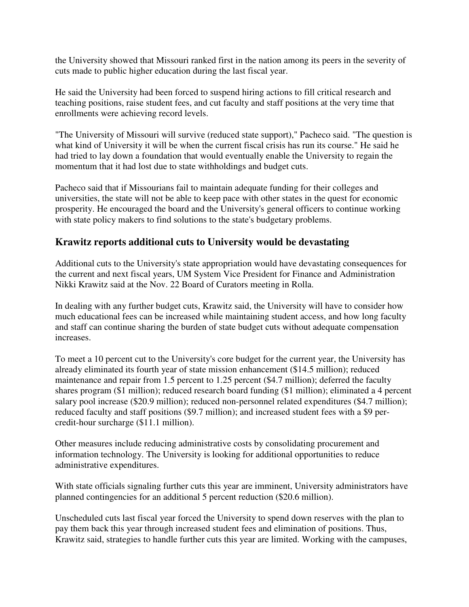the University showed that Missouri ranked first in the nation among its peers in the severity of cuts made to public higher education during the last fiscal year.

He said the University had been forced to suspend hiring actions to fill critical research and teaching positions, raise student fees, and cut faculty and staff positions at the very time that enrollments were achieving record levels.

"The University of Missouri will survive (reduced state support)," Pacheco said. "The question is what kind of University it will be when the current fiscal crisis has run its course." He said he had tried to lay down a foundation that would eventually enable the University to regain the momentum that it had lost due to state withholdings and budget cuts.

Pacheco said that if Missourians fail to maintain adequate funding for their colleges and universities, the state will not be able to keep pace with other states in the quest for economic prosperity. He encouraged the board and the University's general officers to continue working with state policy makers to find solutions to the state's budgetary problems.

## **Krawitz reports additional cuts to University would be devastating**

Additional cuts to the University's state appropriation would have devastating consequences for the current and next fiscal years, UM System Vice President for Finance and Administration Nikki Krawitz said at the Nov. 22 Board of Curators meeting in Rolla.

In dealing with any further budget cuts, Krawitz said, the University will have to consider how much educational fees can be increased while maintaining student access, and how long faculty and staff can continue sharing the burden of state budget cuts without adequate compensation increases.

To meet a 10 percent cut to the University's core budget for the current year, the University has already eliminated its fourth year of state mission enhancement (\$14.5 million); reduced maintenance and repair from 1.5 percent to 1.25 percent (\$4.7 million); deferred the faculty shares program (\$1 million); reduced research board funding (\$1 million); eliminated a 4 percent salary pool increase (\$20.9 million); reduced non-personnel related expenditures (\$4.7 million); reduced faculty and staff positions (\$9.7 million); and increased student fees with a \$9 percredit-hour surcharge (\$11.1 million).

Other measures include reducing administrative costs by consolidating procurement and information technology. The University is looking for additional opportunities to reduce administrative expenditures.

With state officials signaling further cuts this year are imminent, University administrators have planned contingencies for an additional 5 percent reduction (\$20.6 million).

Unscheduled cuts last fiscal year forced the University to spend down reserves with the plan to pay them back this year through increased student fees and elimination of positions. Thus, Krawitz said, strategies to handle further cuts this year are limited. Working with the campuses,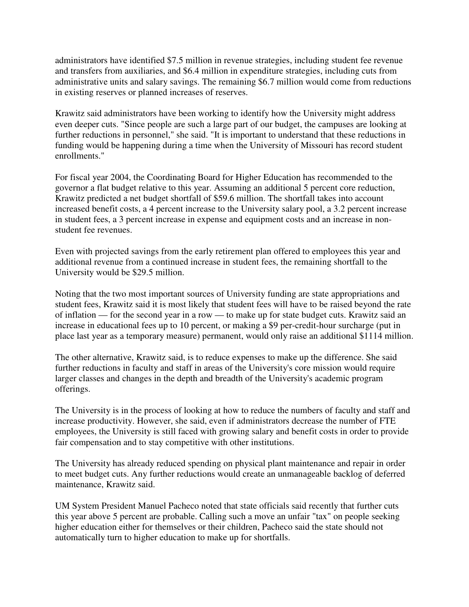administrators have identified \$7.5 million in revenue strategies, including student fee revenue and transfers from auxiliaries, and \$6.4 million in expenditure strategies, including cuts from administrative units and salary savings. The remaining \$6.7 million would come from reductions in existing reserves or planned increases of reserves.

Krawitz said administrators have been working to identify how the University might address even deeper cuts. "Since people are such a large part of our budget, the campuses are looking at further reductions in personnel," she said. "It is important to understand that these reductions in funding would be happening during a time when the University of Missouri has record student enrollments."

For fiscal year 2004, the Coordinating Board for Higher Education has recommended to the governor a flat budget relative to this year. Assuming an additional 5 percent core reduction, Krawitz predicted a net budget shortfall of \$59.6 million. The shortfall takes into account increased benefit costs, a 4 percent increase to the University salary pool, a 3.2 percent increase in student fees, a 3 percent increase in expense and equipment costs and an increase in nonstudent fee revenues.

Even with projected savings from the early retirement plan offered to employees this year and additional revenue from a continued increase in student fees, the remaining shortfall to the University would be \$29.5 million.

Noting that the two most important sources of University funding are state appropriations and student fees, Krawitz said it is most likely that student fees will have to be raised beyond the rate of inflation — for the second year in a row — to make up for state budget cuts. Krawitz said an increase in educational fees up to 10 percent, or making a \$9 per-credit-hour surcharge (put in place last year as a temporary measure) permanent, would only raise an additional \$1114 million.

The other alternative, Krawitz said, is to reduce expenses to make up the difference. She said further reductions in faculty and staff in areas of the University's core mission would require larger classes and changes in the depth and breadth of the University's academic program offerings.

The University is in the process of looking at how to reduce the numbers of faculty and staff and increase productivity. However, she said, even if administrators decrease the number of FTE employees, the University is still faced with growing salary and benefit costs in order to provide fair compensation and to stay competitive with other institutions.

The University has already reduced spending on physical plant maintenance and repair in order to meet budget cuts. Any further reductions would create an unmanageable backlog of deferred maintenance, Krawitz said.

UM System President Manuel Pacheco noted that state officials said recently that further cuts this year above 5 percent are probable. Calling such a move an unfair "tax" on people seeking higher education either for themselves or their children, Pacheco said the state should not automatically turn to higher education to make up for shortfalls.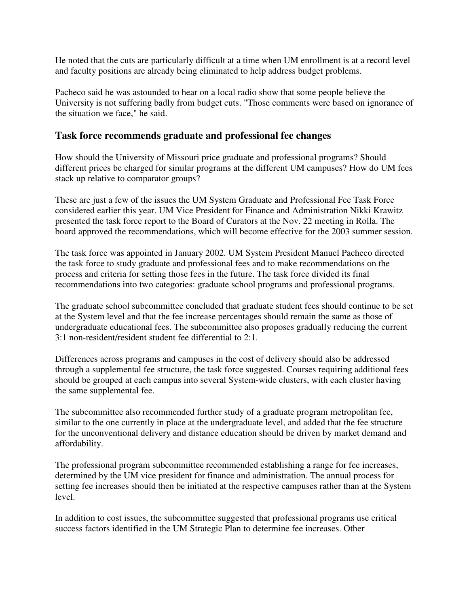He noted that the cuts are particularly difficult at a time when UM enrollment is at a record level and faculty positions are already being eliminated to help address budget problems.

Pacheco said he was astounded to hear on a local radio show that some people believe the University is not suffering badly from budget cuts. "Those comments were based on ignorance of the situation we face," he said.

#### **Task force recommends graduate and professional fee changes**

How should the University of Missouri price graduate and professional programs? Should different prices be charged for similar programs at the different UM campuses? How do UM fees stack up relative to comparator groups?

These are just a few of the issues the UM System Graduate and Professional Fee Task Force considered earlier this year. UM Vice President for Finance and Administration Nikki Krawitz presented the task force report to the Board of Curators at the Nov. 22 meeting in Rolla. The board approved the recommendations, which will become effective for the 2003 summer session.

The task force was appointed in January 2002. UM System President Manuel Pacheco directed the task force to study graduate and professional fees and to make recommendations on the process and criteria for setting those fees in the future. The task force divided its final recommendations into two categories: graduate school programs and professional programs.

The graduate school subcommittee concluded that graduate student fees should continue to be set at the System level and that the fee increase percentages should remain the same as those of undergraduate educational fees. The subcommittee also proposes gradually reducing the current 3:1 non-resident/resident student fee differential to 2:1.

Differences across programs and campuses in the cost of delivery should also be addressed through a supplemental fee structure, the task force suggested. Courses requiring additional fees should be grouped at each campus into several System-wide clusters, with each cluster having the same supplemental fee.

The subcommittee also recommended further study of a graduate program metropolitan fee, similar to the one currently in place at the undergraduate level, and added that the fee structure for the unconventional delivery and distance education should be driven by market demand and affordability.

The professional program subcommittee recommended establishing a range for fee increases, determined by the UM vice president for finance and administration. The annual process for setting fee increases should then be initiated at the respective campuses rather than at the System level.

In addition to cost issues, the subcommittee suggested that professional programs use critical success factors identified in the UM Strategic Plan to determine fee increases. Other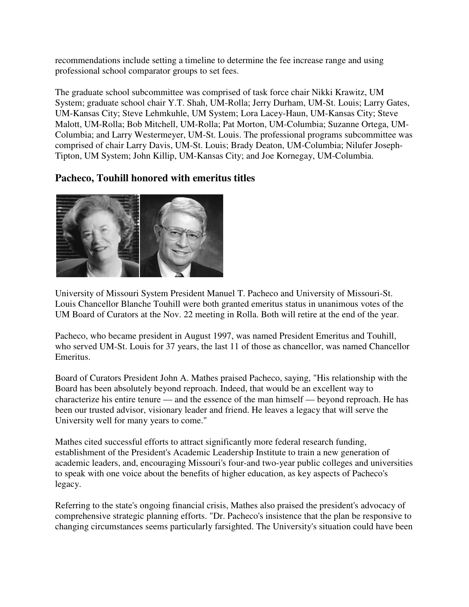recommendations include setting a timeline to determine the fee increase range and using professional school comparator groups to set fees.

The graduate school subcommittee was comprised of task force chair Nikki Krawitz, UM System; graduate school chair Y.T. Shah, UM-Rolla; Jerry Durham, UM-St. Louis; Larry Gates, UM-Kansas City; Steve Lehmkuhle, UM System; Lora Lacey-Haun, UM-Kansas City; Steve Malott, UM-Rolla; Bob Mitchell, UM-Rolla; Pat Morton, UM-Columbia; Suzanne Ortega, UM-Columbia; and Larry Westermeyer, UM-St. Louis. The professional programs subcommittee was comprised of chair Larry Davis, UM-St. Louis; Brady Deaton, UM-Columbia; Nilufer Joseph-Tipton, UM System; John Killip, UM-Kansas City; and Joe Kornegay, UM-Columbia.

### **Pacheco, Touhill honored with emeritus titles**



University of Missouri System President Manuel T. Pacheco and University of Missouri-St. Louis Chancellor Blanche Touhill were both granted emeritus status in unanimous votes of the UM Board of Curators at the Nov. 22 meeting in Rolla. Both will retire at the end of the year.

Pacheco, who became president in August 1997, was named President Emeritus and Touhill, who served UM-St. Louis for 37 years, the last 11 of those as chancellor, was named Chancellor Emeritus.

Board of Curators President John A. Mathes praised Pacheco, saying, "His relationship with the Board has been absolutely beyond reproach. Indeed, that would be an excellent way to characterize his entire tenure — and the essence of the man himself — beyond reproach. He has been our trusted advisor, visionary leader and friend. He leaves a legacy that will serve the University well for many years to come."

Mathes cited successful efforts to attract significantly more federal research funding, establishment of the President's Academic Leadership Institute to train a new generation of academic leaders, and, encouraging Missouri's four-and two-year public colleges and universities to speak with one voice about the benefits of higher education, as key aspects of Pacheco's legacy.

Referring to the state's ongoing financial crisis, Mathes also praised the president's advocacy of comprehensive strategic planning efforts. "Dr. Pacheco's insistence that the plan be responsive to changing circumstances seems particularly farsighted. The University's situation could have been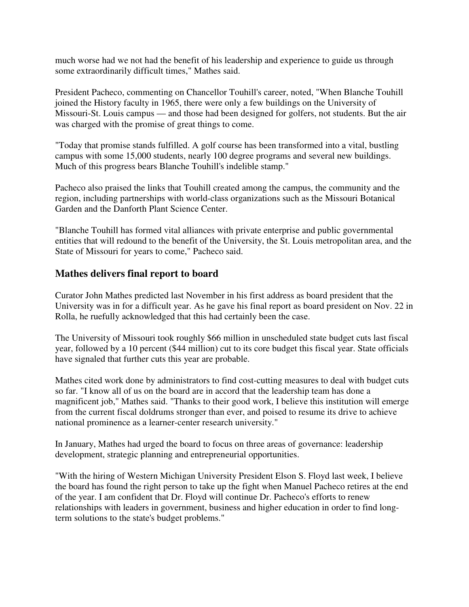much worse had we not had the benefit of his leadership and experience to guide us through some extraordinarily difficult times," Mathes said.

President Pacheco, commenting on Chancellor Touhill's career, noted, "When Blanche Touhill joined the History faculty in 1965, there were only a few buildings on the University of Missouri-St. Louis campus — and those had been designed for golfers, not students. But the air was charged with the promise of great things to come.

"Today that promise stands fulfilled. A golf course has been transformed into a vital, bustling campus with some 15,000 students, nearly 100 degree programs and several new buildings. Much of this progress bears Blanche Touhill's indelible stamp."

Pacheco also praised the links that Touhill created among the campus, the community and the region, including partnerships with world-class organizations such as the Missouri Botanical Garden and the Danforth Plant Science Center.

"Blanche Touhill has formed vital alliances with private enterprise and public governmental entities that will redound to the benefit of the University, the St. Louis metropolitan area, and the State of Missouri for years to come," Pacheco said.

### **Mathes delivers final report to board**

Curator John Mathes predicted last November in his first address as board president that the University was in for a difficult year. As he gave his final report as board president on Nov. 22 in Rolla, he ruefully acknowledged that this had certainly been the case.

The University of Missouri took roughly \$66 million in unscheduled state budget cuts last fiscal year, followed by a 10 percent (\$44 million) cut to its core budget this fiscal year. State officials have signaled that further cuts this year are probable.

Mathes cited work done by administrators to find cost-cutting measures to deal with budget cuts so far. "I know all of us on the board are in accord that the leadership team has done a magnificent job," Mathes said. "Thanks to their good work, I believe this institution will emerge from the current fiscal doldrums stronger than ever, and poised to resume its drive to achieve national prominence as a learner-center research university."

In January, Mathes had urged the board to focus on three areas of governance: leadership development, strategic planning and entrepreneurial opportunities.

"With the hiring of Western Michigan University President Elson S. Floyd last week, I believe the board has found the right person to take up the fight when Manuel Pacheco retires at the end of the year. I am confident that Dr. Floyd will continue Dr. Pacheco's efforts to renew relationships with leaders in government, business and higher education in order to find longterm solutions to the state's budget problems."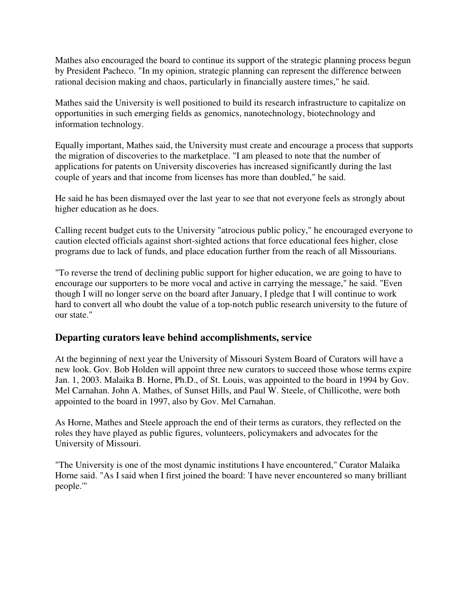Mathes also encouraged the board to continue its support of the strategic planning process begun by President Pacheco. "In my opinion, strategic planning can represent the difference between rational decision making and chaos, particularly in financially austere times," he said.

Mathes said the University is well positioned to build its research infrastructure to capitalize on opportunities in such emerging fields as genomics, nanotechnology, biotechnology and information technology.

Equally important, Mathes said, the University must create and encourage a process that supports the migration of discoveries to the marketplace. "I am pleased to note that the number of applications for patents on University discoveries has increased significantly during the last couple of years and that income from licenses has more than doubled," he said.

He said he has been dismayed over the last year to see that not everyone feels as strongly about higher education as he does.

Calling recent budget cuts to the University "atrocious public policy," he encouraged everyone to caution elected officials against short-sighted actions that force educational fees higher, close programs due to lack of funds, and place education further from the reach of all Missourians.

"To reverse the trend of declining public support for higher education, we are going to have to encourage our supporters to be more vocal and active in carrying the message," he said. "Even though I will no longer serve on the board after January, I pledge that I will continue to work hard to convert all who doubt the value of a top-notch public research university to the future of our state."

### **Departing curators leave behind accomplishments, service**

At the beginning of next year the University of Missouri System Board of Curators will have a new look. Gov. Bob Holden will appoint three new curators to succeed those whose terms expire Jan. 1, 2003. Malaika B. Horne, Ph.D., of St. Louis, was appointed to the board in 1994 by Gov. Mel Carnahan. John A. Mathes, of Sunset Hills, and Paul W. Steele, of Chillicothe, were both appointed to the board in 1997, also by Gov. Mel Carnahan.

As Horne, Mathes and Steele approach the end of their terms as curators, they reflected on the roles they have played as public figures, volunteers, policymakers and advocates for the University of Missouri.

"The University is one of the most dynamic institutions I have encountered," Curator Malaika Horne said. "As I said when I first joined the board: 'I have never encountered so many brilliant people.'"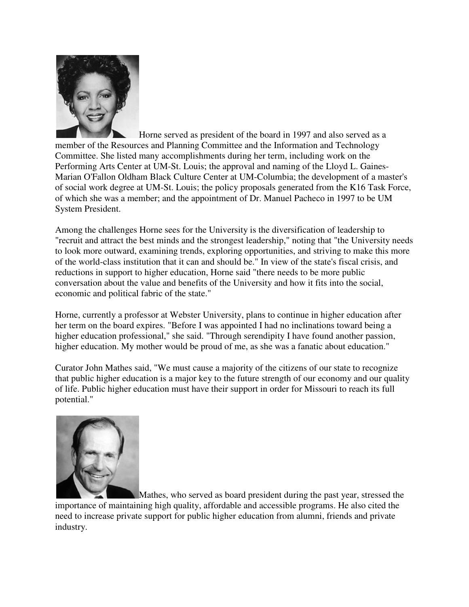

Horne served as president of the board in 1997 and also served as a member of the Resources and Planning Committee and the Information and Technology Committee. She listed many accomplishments during her term, including work on the Performing Arts Center at UM-St. Louis; the approval and naming of the Lloyd L. Gaines-Marian O'Fallon Oldham Black Culture Center at UM-Columbia; the development of a master's of social work degree at UM-St. Louis; the policy proposals generated from the K16 Task Force, of which she was a member; and the appointment of Dr. Manuel Pacheco in 1997 to be UM System President.

Among the challenges Horne sees for the University is the diversification of leadership to "recruit and attract the best minds and the strongest leadership," noting that "the University needs to look more outward, examining trends, exploring opportunities, and striving to make this more of the world-class institution that it can and should be." In view of the state's fiscal crisis, and reductions in support to higher education, Horne said "there needs to be more public conversation about the value and benefits of the University and how it fits into the social, economic and political fabric of the state."

Horne, currently a professor at Webster University, plans to continue in higher education after her term on the board expires. "Before I was appointed I had no inclinations toward being a higher education professional," she said. "Through serendipity I have found another passion, higher education. My mother would be proud of me, as she was a fanatic about education."

Curator John Mathes said, "We must cause a majority of the citizens of our state to recognize that public higher education is a major key to the future strength of our economy and our quality of life. Public higher education must have their support in order for Missouri to reach its full potential."



Mathes, who served as board president during the past year, stressed the importance of maintaining high quality, affordable and accessible programs. He also cited the need to increase private support for public higher education from alumni, friends and private industry.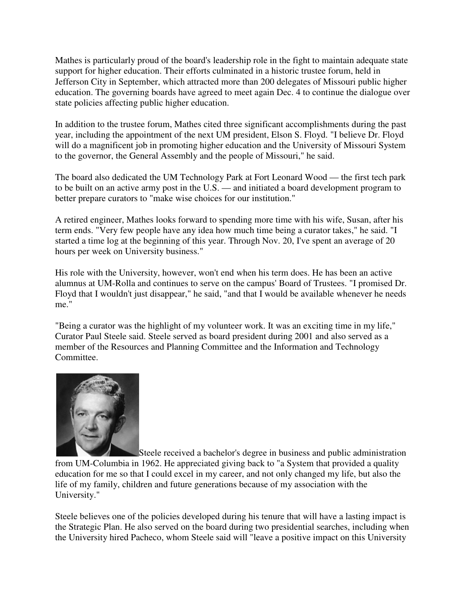Mathes is particularly proud of the board's leadership role in the fight to maintain adequate state support for higher education. Their efforts culminated in a historic trustee forum, held in Jefferson City in September, which attracted more than 200 delegates of Missouri public higher education. The governing boards have agreed to meet again Dec. 4 to continue the dialogue over state policies affecting public higher education.

In addition to the trustee forum, Mathes cited three significant accomplishments during the past year, including the appointment of the next UM president, Elson S. Floyd. "I believe Dr. Floyd will do a magnificent job in promoting higher education and the University of Missouri System to the governor, the General Assembly and the people of Missouri," he said.

The board also dedicated the UM Technology Park at Fort Leonard Wood — the first tech park to be built on an active army post in the U.S. — and initiated a board development program to better prepare curators to "make wise choices for our institution."

A retired engineer, Mathes looks forward to spending more time with his wife, Susan, after his term ends. "Very few people have any idea how much time being a curator takes," he said. "I started a time log at the beginning of this year. Through Nov. 20, I've spent an average of 20 hours per week on University business."

His role with the University, however, won't end when his term does. He has been an active alumnus at UM-Rolla and continues to serve on the campus' Board of Trustees. "I promised Dr. Floyd that I wouldn't just disappear," he said, "and that I would be available whenever he needs me."

"Being a curator was the highlight of my volunteer work. It was an exciting time in my life," Curator Paul Steele said. Steele served as board president during 2001 and also served as a member of the Resources and Planning Committee and the Information and Technology Committee.



Steele received a bachelor's degree in business and public administration from UM-Columbia in 1962. He appreciated giving back to "a System that provided a quality education for me so that I could excel in my career, and not only changed my life, but also the life of my family, children and future generations because of my association with the University."

Steele believes one of the policies developed during his tenure that will have a lasting impact is the Strategic Plan. He also served on the board during two presidential searches, including when the University hired Pacheco, whom Steele said will "leave a positive impact on this University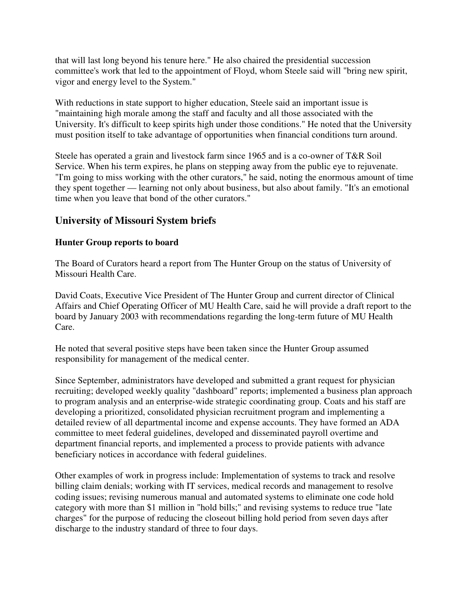that will last long beyond his tenure here." He also chaired the presidential succession committee's work that led to the appointment of Floyd, whom Steele said will "bring new spirit, vigor and energy level to the System."

With reductions in state support to higher education, Steele said an important issue is "maintaining high morale among the staff and faculty and all those associated with the University. It's difficult to keep spirits high under those conditions." He noted that the University must position itself to take advantage of opportunities when financial conditions turn around.

Steele has operated a grain and livestock farm since 1965 and is a co-owner of T&R Soil Service. When his term expires, he plans on stepping away from the public eye to rejuvenate. "I'm going to miss working with the other curators," he said, noting the enormous amount of time they spent together — learning not only about business, but also about family. "It's an emotional time when you leave that bond of the other curators."

## **University of Missouri System briefs**

#### **Hunter Group reports to board**

The Board of Curators heard a report from The Hunter Group on the status of University of Missouri Health Care.

David Coats, Executive Vice President of The Hunter Group and current director of Clinical Affairs and Chief Operating Officer of MU Health Care, said he will provide a draft report to the board by January 2003 with recommendations regarding the long-term future of MU Health Care.

He noted that several positive steps have been taken since the Hunter Group assumed responsibility for management of the medical center.

Since September, administrators have developed and submitted a grant request for physician recruiting; developed weekly quality "dashboard" reports; implemented a business plan approach to program analysis and an enterprise-wide strategic coordinating group. Coats and his staff are developing a prioritized, consolidated physician recruitment program and implementing a detailed review of all departmental income and expense accounts. They have formed an ADA committee to meet federal guidelines, developed and disseminated payroll overtime and department financial reports, and implemented a process to provide patients with advance beneficiary notices in accordance with federal guidelines.

Other examples of work in progress include: Implementation of systems to track and resolve billing claim denials; working with IT services, medical records and management to resolve coding issues; revising numerous manual and automated systems to eliminate one code hold category with more than \$1 million in "hold bills;" and revising systems to reduce true "late charges" for the purpose of reducing the closeout billing hold period from seven days after discharge to the industry standard of three to four days.